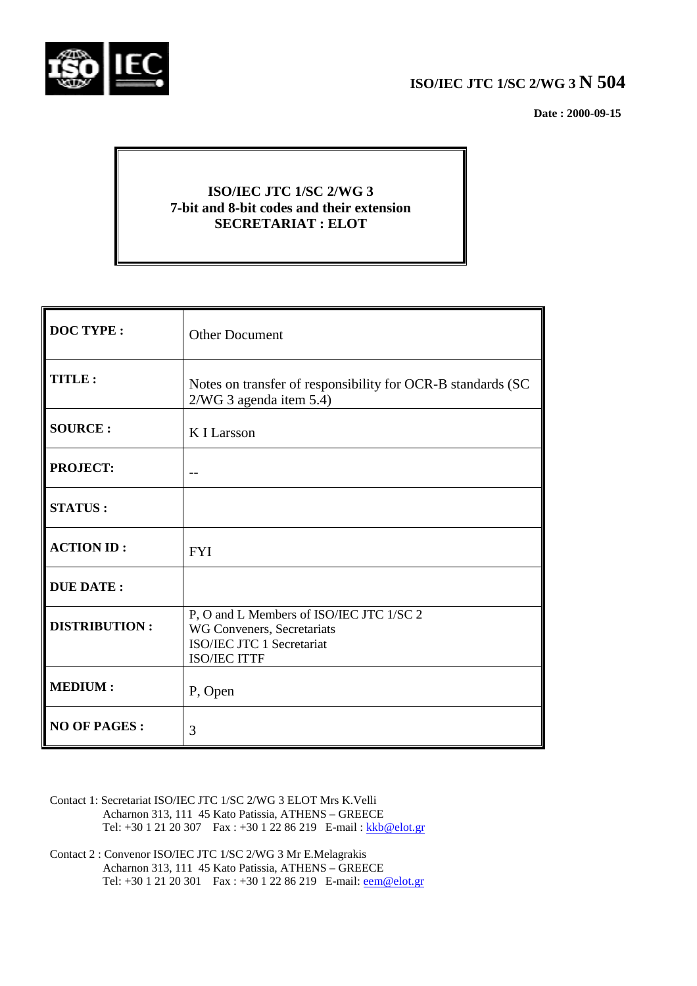

# **ISO/IEC JTC 1/SC 2/WG 3 N 504**

 **Date : 2000-09-15**

# **ISO/IEC JTC 1/SC 2/WG 3 7-bit and 8-bit codes and their extension SECRETARIAT : ELOT**

| <b>DOC TYPE:</b>     | Other Document                                                                                                      |
|----------------------|---------------------------------------------------------------------------------------------------------------------|
| <b>TITLE:</b>        | Notes on transfer of responsibility for OCR-B standards (SC<br>$2/WG$ 3 agenda item 5.4)                            |
| <b>SOURCE:</b>       | K I Larsson                                                                                                         |
| <b>PROJECT:</b>      | --                                                                                                                  |
| <b>STATUS:</b>       |                                                                                                                     |
| <b>ACTION ID:</b>    | <b>FYI</b>                                                                                                          |
| <b>DUE DATE:</b>     |                                                                                                                     |
| <b>DISTRIBUTION:</b> | P, O and L Members of ISO/IEC JTC 1/SC 2<br>WG Conveners, Secretariats<br>ISO/IEC JTC 1 Secretariat<br>ISO/IEC ITTF |
| <b>MEDIUM:</b>       | P, Open                                                                                                             |
| <b>NO OF PAGES:</b>  | 3                                                                                                                   |

- Contact 1: Secretariat ISO/IEC JTC 1/SC 2/WG 3 ELOT Mrs K.Velli Acharnon 313, 111 45 Kato Patissia, ATHENS – GREECE Tel: +30 1 21 20 307 Fax : +30 1 22 86 219 E-mail : kkb@elot.gr
- Contact 2 : Convenor ISO/IEC JTC 1/SC 2/WG 3 Mr E.Melagrakis Acharnon 313, 111 45 Kato Patissia, ATHENS – GREECE Tel: +30 1 21 20 301 Fax : +30 1 22 86 219 E-mail: <u>eem@elot.gr</u>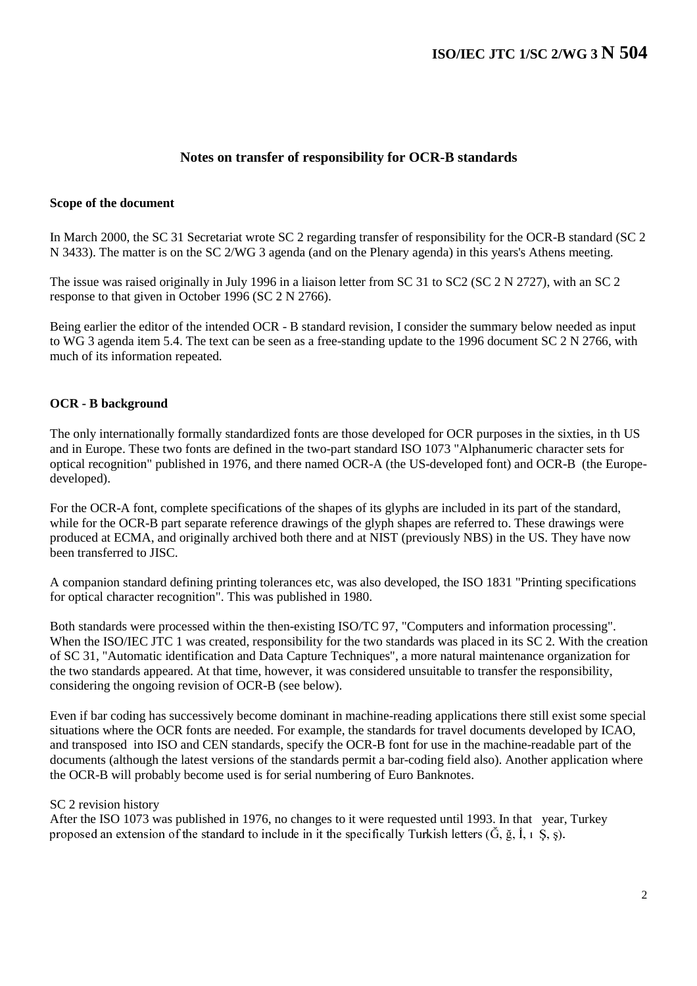## **Notes on transfer of responsibility for OCR-B standards**

#### **Scope of the document**

In March 2000, the SC 31 Secretariat wrote SC 2 regarding transfer of responsibility for the OCR-B standard (SC 2) N 3433). The matter is on the SC 2/WG 3 agenda (and on the Plenary agenda) in this years's Athens meeting.

The issue was raised originally in July 1996 in a liaison letter from SC 31 to SC2 (SC 2 N 2727), with an SC 2 response to that given in October 1996 (SC 2 N 2766).

Being earlier the editor of the intended OCR - B standard revision, I consider the summary below needed as input to WG 3 agenda item 5.4. The text can be seen as a free-standing update to the 1996 document SC 2 N 2766, with much of its information repeated.

#### **OCR - B background**

The only internationally formally standardized fonts are those developed for OCR purposes in the sixties, in th US and in Europe. These two fonts are defined in the two-part standard ISO 1073 "Alphanumeric character sets for optical recognition" published in 1976, and there named OCR-A (the US-developed font) and OCR-B (the Europedeveloped).

For the OCR-A font, complete specifications of the shapes of its glyphs are included in its part of the standard, while for the OCR-B part separate reference drawings of the glyph shapes are referred to. These drawings were produced at ECMA, and originally archived both there and at NIST (previously NBS) in the US. They have now been transferred to JISC.

A companion standard defining printing tolerances etc, was also developed, the ISO 1831 "Printing specifications for optical character recognition". This was published in 1980.

Both standards were processed within the then-existing ISO/TC 97, "Computers and information processing". When the ISO/IEC JTC 1 was created, responsibility for the two standards was placed in its SC 2. With the creation of SC 31, "Automatic identification and Data Capture Techniques", a more natural maintenance organization for the two standards appeared. At that time, however, it was considered unsuitable to transfer the responsibility, considering the ongoing revision of OCR-B (see below).

Even if bar coding has successively become dominant in machine-reading applications there still exist some special situations where the OCR fonts are needed. For example, the standards for travel documents developed by ICAO, and transposed into ISO and CEN standards, specify the OCR-B font for use in the machine-readable part of the documents (although the latest versions of the standards permit a bar-coding field also). Another application where the OCR-B will probably become used is for serial numbering of Euro Banknotes.

#### SC 2 revision history

After the ISO 1073 was published in 1976, no changes to it were requested until 1993. In that year, Turkey proposed an extension of the standard to include in it the specifically Turkish letters ( $\check{G}$ ,  $\check{g}$ ,  $\check{I}$ , 1  $\check{S}$ , s).